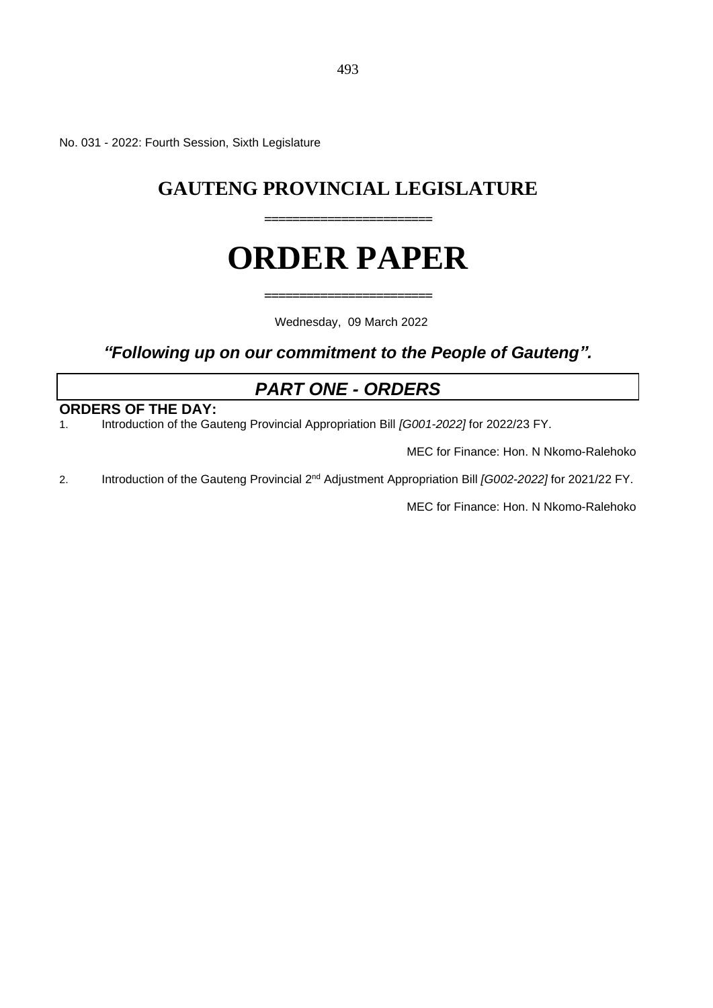No. 031 - 2022: Fourth Session, Sixth Legislature

## **GAUTENG PROVINCIAL LEGISLATURE**

**========================**

# **ORDER PAPER**

**========================**

Wednesday, 09 March 2022

*"Following up on our commitment to the People of Gauteng".*

## *PART ONE - ORDERS*

## **ORDERS OF THE DAY:**

1. Introduction of the Gauteng Provincial Appropriation Bill *[G001-2022]* for 2022/23 FY.

MEC for Finance: Hon. N Nkomo-Ralehoko

2. Introduction of the Gauteng Provincial 2<sup>nd</sup> Adjustment Appropriation Bill *[G002-2022]* for 2021/22 FY.

MEC for Finance: Hon. N Nkomo-Ralehoko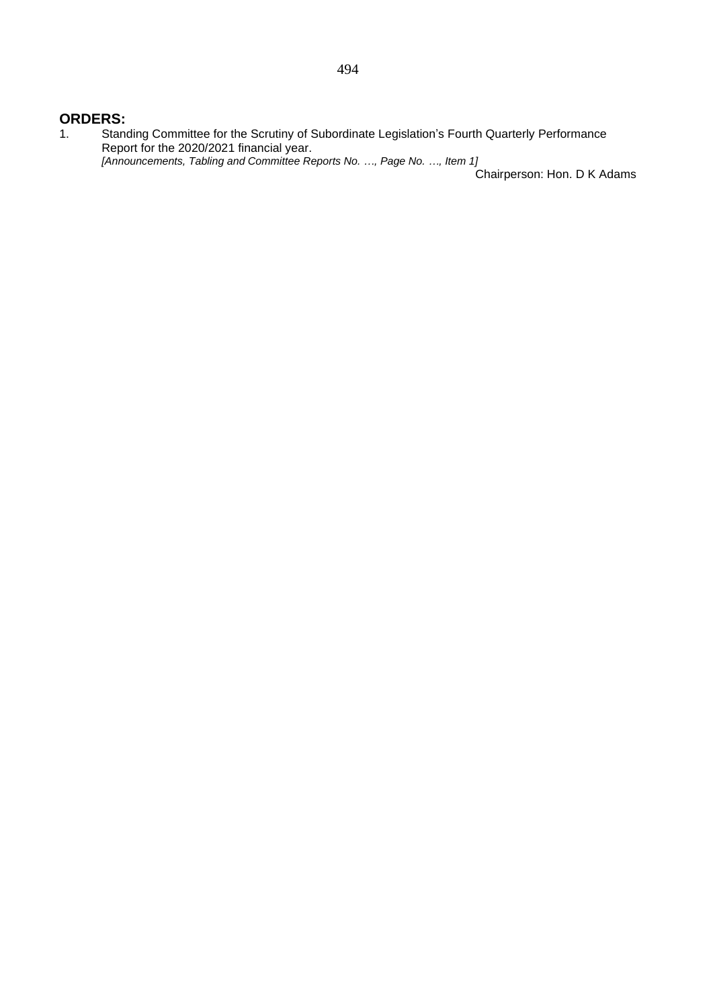### **ORDERS:**

1. Standing Committee for the Scrutiny of Subordinate Legislation's Fourth Quarterly Performance Report for the 2020/2021 financial year. *[Announcements, Tabling and Committee Reports No. …, Page No. …, Item 1]*

Chairperson: Hon. D K Adams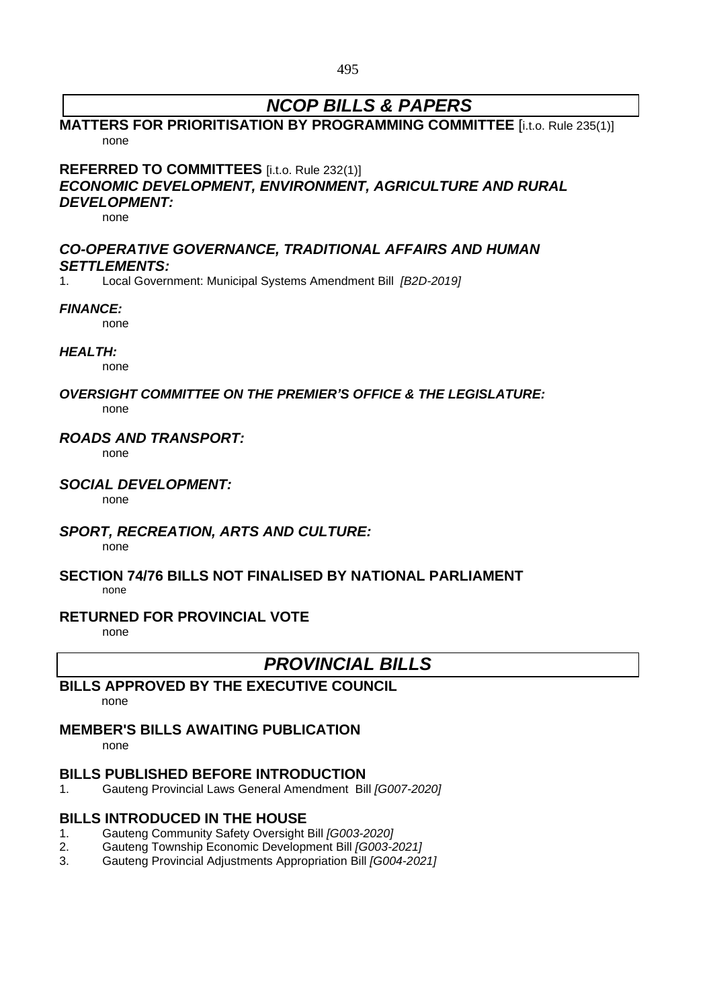## *NCOP BILLS & PAPERS*

### **MATTERS FOR PRIORITISATION BY PROGRAMMING COMMITTEE** [i.t.o. Rule 235(1)] none

**REFERRED TO COMMITTEES** [i.t.o. Rule 232(1)] *ECONOMIC DEVELOPMENT, ENVIRONMENT, AGRICULTURE AND RURAL*

## *DEVELOPMENT:*

none

### *CO-OPERATIVE GOVERNANCE, TRADITIONAL AFFAIRS AND HUMAN SETTLEMENTS:*

1. Local Government: Municipal Systems Amendment Bill *[B2D-2019]*

### *FINANCE:*

none

#### *HEALTH:*

none

#### *OVERSIGHT COMMITTEE ON THE PREMIER'S OFFICE & THE LEGISLATURE:* none

### *ROADS AND TRANSPORT:*

none

### *SOCIAL DEVELOPMENT:*

none

## *SPORT, RECREATION, ARTS AND CULTURE:*

none

#### **SECTION 74/76 BILLS NOT FINALISED BY NATIONAL PARLIAMENT** none

### **RETURNED FOR PROVINCIAL VOTE**

none

## *PROVINCIAL BILLS*

## **BILLS APPROVED BY THE EXECUTIVE COUNCIL**

none

## **MEMBER'S BILLS AWAITING PUBLICATION**

none

## **BILLS PUBLISHED BEFORE INTRODUCTION**

1. Gauteng Provincial Laws General Amendment Bill *[G007-2020]*

## **BILLS INTRODUCED IN THE HOUSE**

- 1. Gauteng Community Safety Oversight Bill *[G003-2020]*
- 2. Gauteng Township Economic Development Bill *[G003-2021]*
- 3. Gauteng Provincial Adjustments Appropriation Bill *[G004-2021]*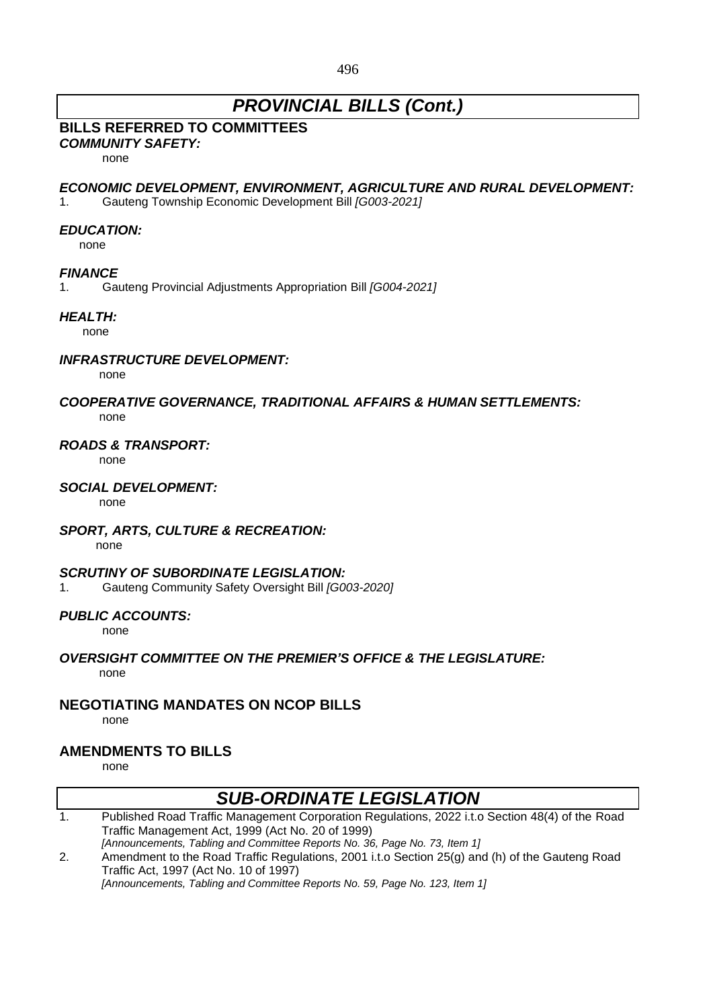## *PROVINCIAL BILLS (Cont.)*

## **BILLS REFERRED TO COMMITTEES**

*COMMUNITY SAFETY:*

none

#### *ECONOMIC DEVELOPMENT, ENVIRONMENT, AGRICULTURE AND RURAL DEVELOPMENT:*

1. Gauteng Township Economic Development Bill *[G003-2021]*

#### *EDUCATION:*

none

#### *FINANCE*

1. Gauteng Provincial Adjustments Appropriation Bill *[G004-2021]*

#### *HEALTH:*

none

#### *INFRASTRUCTURE DEVELOPMENT:*

none

#### *COOPERATIVE GOVERNANCE, TRADITIONAL AFFAIRS & HUMAN SETTLEMENTS:* none

#### *ROADS & TRANSPORT:*

none

#### *SOCIAL DEVELOPMENT:*

none

### *SPORT, ARTS, CULTURE & RECREATION:*

none

#### *SCRUTINY OF SUBORDINATE LEGISLATION:*

1. Gauteng Community Safety Oversight Bill *[G003-2020]*

### *PUBLIC ACCOUNTS:*

none

#### *OVERSIGHT COMMITTEE ON THE PREMIER'S OFFICE & THE LEGISLATURE:* none

## **NEGOTIATING MANDATES ON NCOP BILLS**

none

## **AMENDMENTS TO BILLS**

none

### *SUB-ORDINATE LEGISLATION*  1. Published Road Traffic Management Corporation Regulations, 2022 i.t.o Section 48(4) of the Road Traffic Management Act, 1999 (Act No. 20 of 1999) *[Announcements, Tabling and Committee Reports No. 36, Page No. 73, Item 1]* 2. Amendment to the Road Traffic Regulations, 2001 i.t.o Section 25(g) and (h) of the Gauteng Road Traffic Act, 1997 (Act No. 10 of 1997)

*[Announcements, Tabling and Committee Reports No. 59, Page No. 123, Item 1]*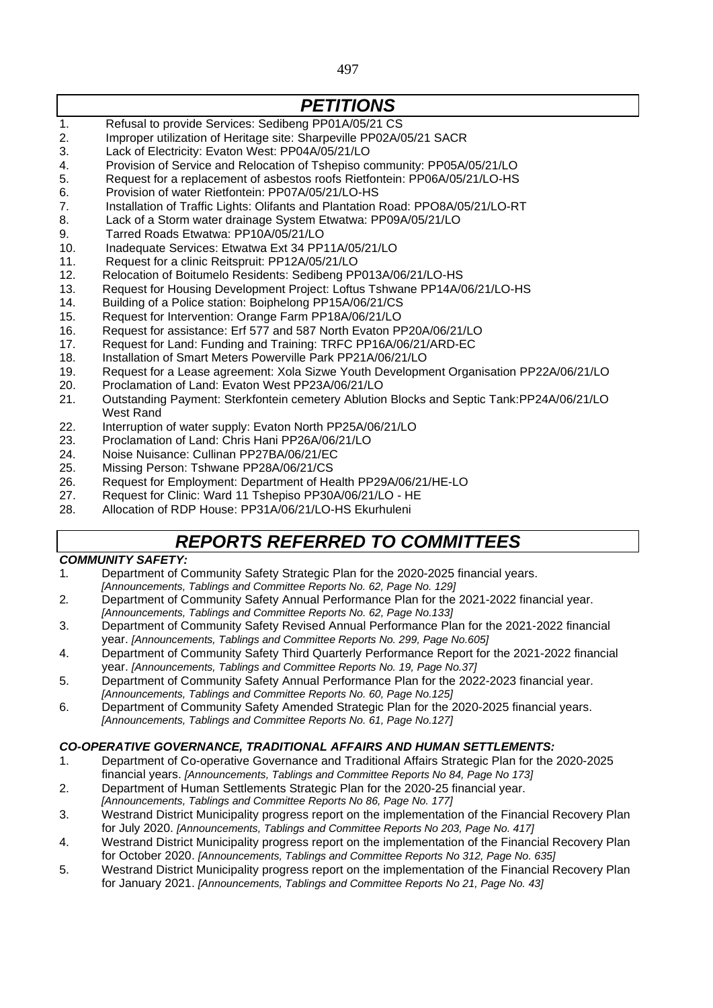497

## *PETITIONS*

- 1. Refusal to provide Services: Sedibeng PP01A/05/21 CS
- 2. Improper utilization of Heritage site: Sharpeville PP02A/05/21 SACR
- 3. Lack of Electricity: Evaton West: PP04A/05/21/LO
- 4. Provision of Service and Relocation of Tshepiso community: PP05A/05/21/LO
- 5. Request for a replacement of asbestos roofs Rietfontein: PP06A/05/21/LO-HS
- 6. Provision of water Rietfontein: PP07A/05/21/LO-HS
- 7. Installation of Traffic Lights: Olifants and Plantation Road: PPO8A/05/21/LO-RT
- 8. Lack of a Storm water drainage System Etwatwa: PP09A/05/21/LO
- 9. Tarred Roads Etwatwa: PP10A/05/21/LO
- 10. Inadequate Services: Etwatwa Ext 34 PP11A/05/21/LO
- 11. Request for a clinic Reitspruit: PP12A/05/21/LO
- 12. Relocation of Boitumelo Residents: Sedibeng PP013A/06/21/LO-HS
- 13. Request for Housing Development Project: Loftus Tshwane PP14A/06/21/LO-HS
- 14. Building of a Police station: Boiphelong PP15A/06/21/CS
- 15. Request for Intervention: Orange Farm PP18A/06/21/LO
- 16. Request for assistance: Erf 577 and 587 North Evaton PP20A/06/21/LO
- 17. Request for Land: Funding and Training: TRFC PP16A/06/21/ARD-EC
- 18. Installation of Smart Meters Powerville Park PP21A/06/21/LO
- 19. Request for a Lease agreement: Xola Sizwe Youth Development Organisation PP22A/06/21/LO
- 20. Proclamation of Land: Evaton West PP23A/06/21/LO
- 21. Outstanding Payment: Sterkfontein cemetery Ablution Blocks and Septic Tank:PP24A/06/21/LO West Rand
- 22. Interruption of water supply: Evaton North PP25A/06/21/LO
- 23. Proclamation of Land: Chris Hani PP26A/06/21/LO
- 24. Noise Nuisance: Cullinan PP27BA/06/21/EC
- 25. Missing Person: Tshwane PP28A/06/21/CS
- 26. Request for Employment: Department of Health PP29A/06/21/HE-LO
- 27. Request for Clinic: Ward 11 Tshepiso PP30A/06/21/LO HE
- 28. Allocation of RDP House: PP31A/06/21/LO-HS Ekurhuleni

## *REPORTS REFERRED TO COMMITTEES*

### *COMMUNITY SAFETY:*

- 1*.* Department of Community Safety Strategic Plan for the 2020-2025 financial years. *[Announcements, Tablings and Committee Reports No. 62, Page No. 129]*
- 2*.* Department of Community Safety Annual Performance Plan for the 2021-2022 financial year. *[Announcements, Tablings and Committee Reports No. 62, Page No.133]*
- 3. Department of Community Safety Revised Annual Performance Plan for the 2021-2022 financial year. *[Announcements, Tablings and Committee Reports No. 299, Page No.605]*
- 4. Department of Community Safety Third Quarterly Performance Report for the 2021-2022 financial year. *[Announcements, Tablings and Committee Reports No. 19, Page No.37]*
- 5. Department of Community Safety Annual Performance Plan for the 2022-2023 financial year. *[Announcements, Tablings and Committee Reports No. 60, Page No.125]*
- 6. Department of Community Safety Amended Strategic Plan for the 2020-2025 financial years. *[Announcements, Tablings and Committee Reports No. 61, Page No.127]*

### *CO-OPERATIVE GOVERNANCE, TRADITIONAL AFFAIRS AND HUMAN SETTLEMENTS:*

- 1. Department of Co-operative Governance and Traditional Affairs Strategic Plan for the 2020-2025 financial years. *[Announcements, Tablings and Committee Reports No 84, Page No 173]*
- 2. Department of Human Settlements Strategic Plan for the 2020-25 financial year.
- *[Announcements, Tablings and Committee Reports No 86, Page No. 177]*
- 3. Westrand District Municipality progress report on the implementation of the Financial Recovery Plan for July 2020. *[Announcements, Tablings and Committee Reports No 203, Page No. 417]*
- 4. Westrand District Municipality progress report on the implementation of the Financial Recovery Plan for October 2020. *[Announcements, Tablings and Committee Reports No 312, Page No. 635]*
- 5. Westrand District Municipality progress report on the implementation of the Financial Recovery Plan for January 2021. *[Announcements, Tablings and Committee Reports No 21, Page No. 43]*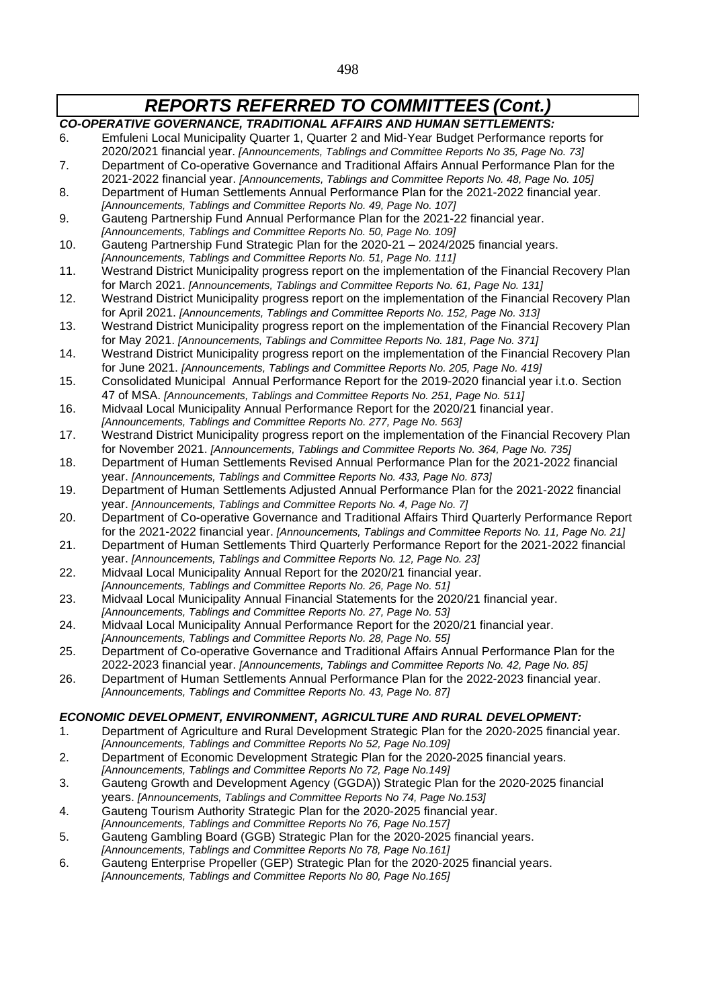- *CO-OPERATIVE GOVERNANCE, TRADITIONAL AFFAIRS AND HUMAN SETTLEMENTS:* 6. Emfuleni Local Municipality Quarter 1, Quarter 2 and Mid-Year Budget Performance reports for 2020/2021 financial year. *[Announcements, Tablings and Committee Reports No 35, Page No. 73]* 7. Department of Co-operative Governance and Traditional Affairs Annual Performance Plan for the 2021-2022 financial year. *[Announcements, Tablings and Committee Reports No. 48, Page No. 105]* 8. Department of Human Settlements Annual Performance Plan for the 2021-2022 financial year. *[Announcements, Tablings and Committee Reports No. 49, Page No. 107]* 9. Gauteng Partnership Fund Annual Performance Plan for the 2021-22 financial year. *[Announcements, Tablings and Committee Reports No. 50, Page No. 109]* 10. Gauteng Partnership Fund Strategic Plan for the 2020-21 – 2024/2025 financial years. *[Announcements, Tablings and Committee Reports No. 51, Page No. 111]* 11. Westrand District Municipality progress report on the implementation of the Financial Recovery Plan for March 2021. *[Announcements, Tablings and Committee Reports No. 61, Page No. 131]* 12. Westrand District Municipality progress report on the implementation of the Financial Recovery Plan for April 2021. *[Announcements, Tablings and Committee Reports No. 152, Page No. 313]* 13. Westrand District Municipality progress report on the implementation of the Financial Recovery Plan for May 2021. *[Announcements, Tablings and Committee Reports No. 181, Page No. 371]* 14. Westrand District Municipality progress report on the implementation of the Financial Recovery Plan for June 2021. *[Announcements, Tablings and Committee Reports No. 205, Page No. 419]* 15. Consolidated Municipal Annual Performance Report for the 2019-2020 financial year i.t.o. Section 47 of MSA. *[Announcements, Tablings and Committee Reports No. 251, Page No. 511]* 16. Midvaal Local Municipality Annual Performance Report for the 2020/21 financial year. *[Announcements, Tablings and Committee Reports No. 277, Page No. 563]* 17. Westrand District Municipality progress report on the implementation of the Financial Recovery Plan for November 2021. *[Announcements, Tablings and Committee Reports No. 364, Page No. 735]* 18. Department of Human Settlements Revised Annual Performance Plan for the 2021-2022 financial year. *[Announcements, Tablings and Committee Reports No. 433, Page No. 873]* 19. Department of Human Settlements Adjusted Annual Performance Plan for the 2021-2022 financial year. *[Announcements, Tablings and Committee Reports No. 4, Page No. 7]* 20. Department of Co-operative Governance and Traditional Affairs Third Quarterly Performance Report for the 2021-2022 financial year. *[Announcements, Tablings and Committee Reports No. 11, Page No. 21]* 21. Department of Human Settlements Third Quarterly Performance Report for the 2021-2022 financial year. *[Announcements, Tablings and Committee Reports No. 12, Page No. 23]* 22. Midvaal Local Municipality Annual Report for the 2020/21 financial year. *[Announcements, Tablings and Committee Reports No. 26, Page No. 51]* 23. Midvaal Local Municipality Annual Financial Statements for the 2020/21 financial year. *[Announcements, Tablings and Committee Reports No. 27, Page No. 53]* 24. Midvaal Local Municipality Annual Performance Report for the 2020/21 financial year. *[Announcements, Tablings and Committee Reports No. 28, Page No. 55]* 25. Department of Co-operative Governance and Traditional Affairs Annual Performance Plan for the 2022-2023 financial year. *[Announcements, Tablings and Committee Reports No. 42, Page No. 85]* 26. Department of Human Settlements Annual Performance Plan for the 2022-2023 financial year. *[Announcements, Tablings and Committee Reports No. 43, Page No. 87] ECONOMIC DEVELOPMENT, ENVIRONMENT, AGRICULTURE AND RURAL DEVELOPMENT:* 1. Department of Agriculture and Rural Development Strategic Plan for the 2020-2025 financial year. *[Announcements, Tablings and Committee Reports No 52, Page No.109]* 2. Department of Economic Development Strategic Plan for the 2020-2025 financial years. *[Announcements, Tablings and Committee Reports No 72, Page No.149]* 3. Gauteng Growth and Development Agency (GGDA)) Strategic Plan for the 2020-2025 financial years. *[Announcements, Tablings and Committee Reports No 74, Page No.153]* 4. Gauteng Tourism Authority Strategic Plan for the 2020-2025 financial year. *[Announcements, Tablings and Committee Reports No 76, Page No.157]* 5. Gauteng Gambling Board (GGB) Strategic Plan for the 2020-2025 financial years. *[Announcements, Tablings and Committee Reports No 78, Page No.161]*
	- 6. Gauteng Enterprise Propeller (GEP) Strategic Plan for the 2020-2025 financial years. *[Announcements, Tablings and Committee Reports No 80, Page No.165]*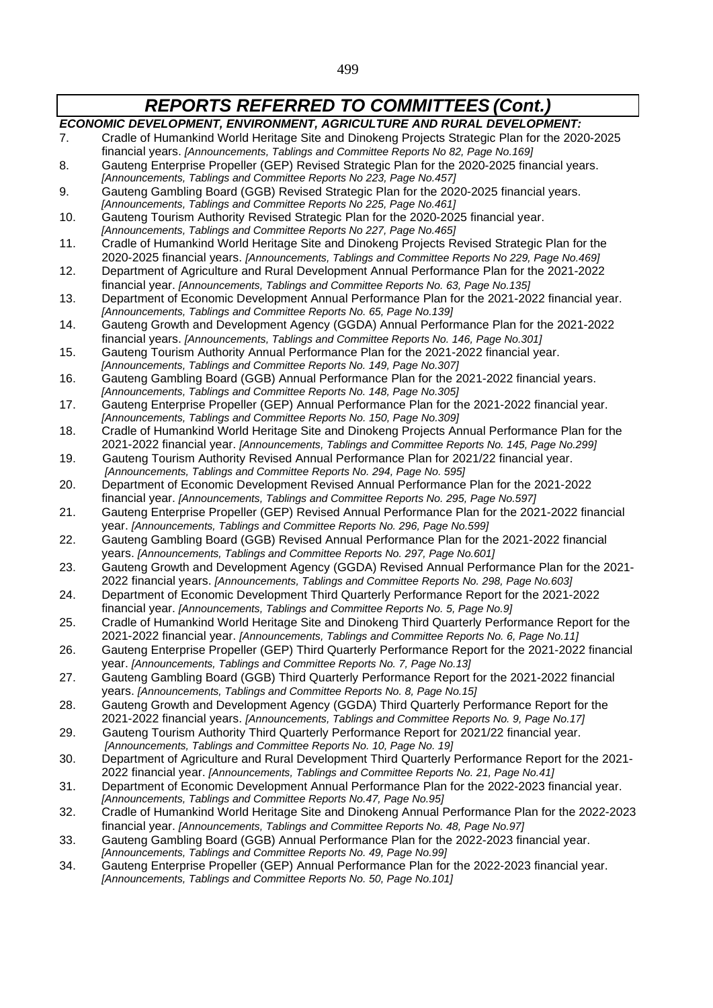499

## *REPORTS REFERRED TO COMMITTEES (Cont.)*

*ECONOMIC DEVELOPMENT, ENVIRONMENT, AGRICULTURE AND RURAL DEVELOPMENT:* 7. Cradle of Humankind World Heritage Site and Dinokeng Projects Strategic Plan for the 2020-2025 financial years. *[Announcements, Tablings and Committee Reports No 82, Page No.169]* 8. Gauteng Enterprise Propeller (GEP) Revised Strategic Plan for the 2020-2025 financial years. *[Announcements, Tablings and Committee Reports No 223, Page No.457]* 9. Gauteng Gambling Board (GGB) Revised Strategic Plan for the 2020-2025 financial years. *[Announcements, Tablings and Committee Reports No 225, Page No.461]* 10. Gauteng Tourism Authority Revised Strategic Plan for the 2020-2025 financial year. *[Announcements, Tablings and Committee Reports No 227, Page No.465]* 11. Cradle of Humankind World Heritage Site and Dinokeng Projects Revised Strategic Plan for the 2020-2025 financial years. *[Announcements, Tablings and Committee Reports No 229, Page No.469]* 12. Department of Agriculture and Rural Development Annual Performance Plan for the 2021-2022 financial year. *[Announcements, Tablings and Committee Reports No. 63, Page No.135]* 13. Department of Economic Development Annual Performance Plan for the 2021-2022 financial year. *[Announcements, Tablings and Committee Reports No. 65, Page No.139]* 14. Gauteng Growth and Development Agency (GGDA) Annual Performance Plan for the 2021-2022 financial years. *[Announcements, Tablings and Committee Reports No. 146, Page No.301]* 15. Gauteng Tourism Authority Annual Performance Plan for the 2021-2022 financial year. *[Announcements, Tablings and Committee Reports No. 149, Page No.307]* 16. Gauteng Gambling Board (GGB) Annual Performance Plan for the 2021-2022 financial years. *[Announcements, Tablings and Committee Reports No. 148, Page No.305]* 17. Gauteng Enterprise Propeller (GEP) Annual Performance Plan for the 2021-2022 financial year. *[Announcements, Tablings and Committee Reports No. 150, Page No.309]* 18. Cradle of Humankind World Heritage Site and Dinokeng Projects Annual Performance Plan for the 2021-2022 financial year. *[Announcements, Tablings and Committee Reports No. 145, Page No.299]* 19. Gauteng Tourism Authority Revised Annual Performance Plan for 2021/22 financial year. *[Announcements, Tablings and Committee Reports No. 294, Page No. 595]* 20. Department of Economic Development Revised Annual Performance Plan for the 2021-2022 financial year. *[Announcements, Tablings and Committee Reports No. 295, Page No.597]* 21. Gauteng Enterprise Propeller (GEP) Revised Annual Performance Plan for the 2021-2022 financial year. *[Announcements, Tablings and Committee Reports No. 296, Page No.599]* 22. Gauteng Gambling Board (GGB) Revised Annual Performance Plan for the 2021-2022 financial years. *[Announcements, Tablings and Committee Reports No. 297, Page No.601]* 23. Gauteng Growth and Development Agency (GGDA) Revised Annual Performance Plan for the 2021- 2022 financial years. *[Announcements, Tablings and Committee Reports No. 298, Page No.603]* 24. Department of Economic Development Third Quarterly Performance Report for the 2021-2022 financial year. *[Announcements, Tablings and Committee Reports No. 5, Page No.9]* 25. Cradle of Humankind World Heritage Site and Dinokeng Third Quarterly Performance Report for the 2021-2022 financial year. *[Announcements, Tablings and Committee Reports No. 6, Page No.11]* 26. Gauteng Enterprise Propeller (GEP) Third Quarterly Performance Report for the 2021-2022 financial year. *[Announcements, Tablings and Committee Reports No. 7, Page No.13]* 27. Gauteng Gambling Board (GGB) Third Quarterly Performance Report for the 2021-2022 financial years. *[Announcements, Tablings and Committee Reports No. 8, Page No.15]* 28. Gauteng Growth and Development Agency (GGDA) Third Quarterly Performance Report for the 2021-2022 financial years. *[Announcements, Tablings and Committee Reports No. 9, Page No.17]* 29. Gauteng Tourism Authority Third Quarterly Performance Report for 2021/22 financial year. *[Announcements, Tablings and Committee Reports No. 10, Page No. 19]* 30. Department of Agriculture and Rural Development Third Quarterly Performance Report for the 2021- 2022 financial year. *[Announcements, Tablings and Committee Reports No. 21, Page No.41]* 31. Department of Economic Development Annual Performance Plan for the 2022-2023 financial year. *[Announcements, Tablings and Committee Reports No.47, Page No.95]* 32. Cradle of Humankind World Heritage Site and Dinokeng Annual Performance Plan for the 2022-2023 financial year. *[Announcements, Tablings and Committee Reports No. 48, Page No.97]* 33. Gauteng Gambling Board (GGB) Annual Performance Plan for the 2022-2023 financial year. *[Announcements, Tablings and Committee Reports No. 49, Page No.99]* 34. Gauteng Enterprise Propeller (GEP) Annual Performance Plan for the 2022-2023 financial year. *[Announcements, Tablings and Committee Reports No. 50, Page No.101]*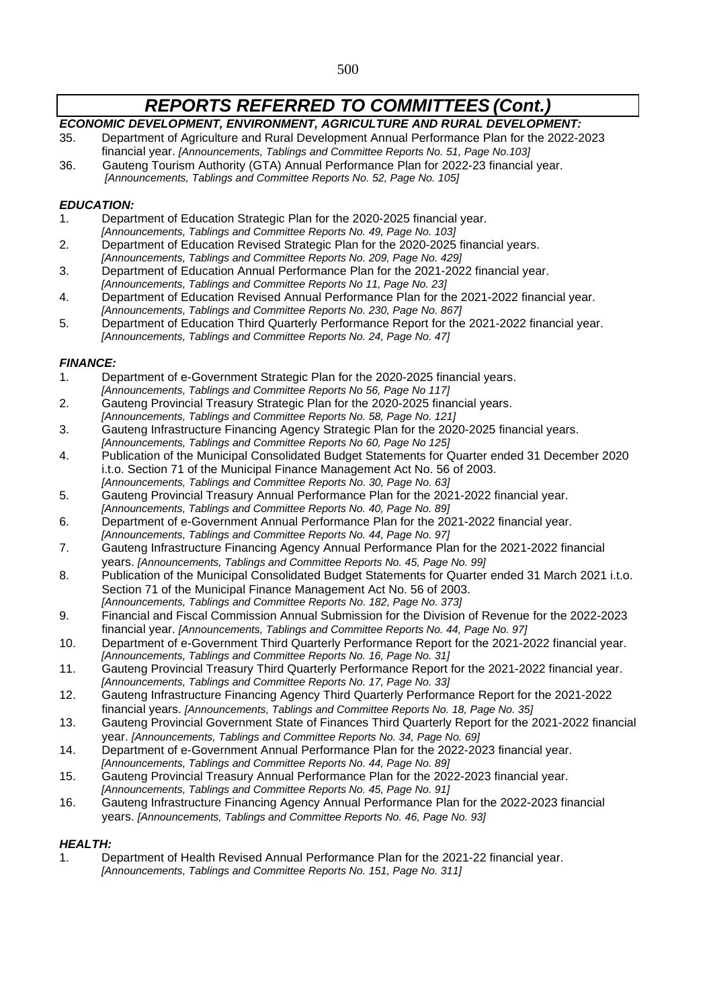### *ECONOMIC DEVELOPMENT, ENVIRONMENT, AGRICULTURE AND RURAL DEVELOPMENT:*

- 35. Department of Agriculture and Rural Development Annual Performance Plan for the 2022-2023 financial year. *[Announcements, Tablings and Committee Reports No. 51, Page No.103]*
- 36. Gauteng Tourism Authority (GTA) Annual Performance Plan for 2022-23 financial year. *[Announcements, Tablings and Committee Reports No. 52, Page No. 105]*

#### *EDUCATION:*

- 1. Department of Education Strategic Plan for the 2020-2025 financial year.
- *[Announcements, Tablings and Committee Reports No. 49, Page No. 103]*
- 2. Department of Education Revised Strategic Plan for the 2020-2025 financial years.
- *[Announcements, Tablings and Committee Reports No. 209, Page No. 429]*
- 3. Department of Education Annual Performance Plan for the 2021-2022 financial year. *[Announcements, Tablings and Committee Reports No 11, Page No. 23]*
- 4. Department of Education Revised Annual Performance Plan for the 2021-2022 financial year. *[Announcements, Tablings and Committee Reports No. 230, Page No. 867]*
- 5. Department of Education Third Quarterly Performance Report for the 2021-2022 financial year. *[Announcements, Tablings and Committee Reports No. 24, Page No. 47]*

#### *FINANCE:*

- 1. Department of e-Government Strategic Plan for the 2020-2025 financial years. *[Announcements, Tablings and Committee Reports No 56, Page No 117]*
- 2. Gauteng Provincial Treasury Strategic Plan for the 2020-2025 financial years.
- *[Announcements, Tablings and Committee Reports No. 58, Page No. 121]* 3. Gauteng Infrastructure Financing Agency Strategic Plan for the 2020-2025 financial years.
- *[Announcements, Tablings and Committee Reports No 60, Page No 125]*
- 4. Publication of the Municipal Consolidated Budget Statements for Quarter ended 31 December 2020 i.t.o. Section 71 of the Municipal Finance Management Act No. 56 of 2003. *[Announcements, Tablings and Committee Reports No. 30, Page No. 63]*
- 5. Gauteng Provincial Treasury Annual Performance Plan for the 2021-2022 financial year. *[Announcements, Tablings and Committee Reports No. 40, Page No. 89]*
- 6. Department of e-Government Annual Performance Plan for the 2021-2022 financial year.
- *[Announcements, Tablings and Committee Reports No. 44, Page No. 97]*
- 7. Gauteng Infrastructure Financing Agency Annual Performance Plan for the 2021-2022 financial years. *[Announcements, Tablings and Committee Reports No. 45, Page No. 99]*
- 8. Publication of the Municipal Consolidated Budget Statements for Quarter ended 31 March 2021 i.t.o. Section 71 of the Municipal Finance Management Act No. 56 of 2003. *[Announcements, Tablings and Committee Reports No. 182, Page No. 373]*
- 9. Financial and Fiscal Commission Annual Submission for the Division of Revenue for the 2022-2023 financial year. *[Announcements, Tablings and Committee Reports No. 44, Page No. 97]*
- 10. Department of e-Government Third Quarterly Performance Report for the 2021-2022 financial year. *[Announcements, Tablings and Committee Reports No. 16, Page No. 31]*
- 11. Gauteng Provincial Treasury Third Quarterly Performance Report for the 2021-2022 financial year. *[Announcements, Tablings and Committee Reports No. 17, Page No. 33]*
- 12. Gauteng Infrastructure Financing Agency Third Quarterly Performance Report for the 2021-2022 financial years. *[Announcements, Tablings and Committee Reports No. 18, Page No. 35]*
- 13. Gauteng Provincial Government State of Finances Third Quarterly Report for the 2021-2022 financial year. *[Announcements, Tablings and Committee Reports No. 34, Page No. 69]*
- 14. Department of e-Government Annual Performance Plan for the 2022-2023 financial year. *[Announcements, Tablings and Committee Reports No. 44, Page No. 89]*
- 15. Gauteng Provincial Treasury Annual Performance Plan for the 2022-2023 financial year. *[Announcements, Tablings and Committee Reports No. 45, Page No. 91]*
- 16. Gauteng Infrastructure Financing Agency Annual Performance Plan for the 2022-2023 financial years. *[Announcements, Tablings and Committee Reports No. 46, Page No. 93]*

#### *HEALTH:*

1. Department of Health Revised Annual Performance Plan for the 2021-22 financial year. *[Announcements, Tablings and Committee Reports No. 151, Page No. 311]*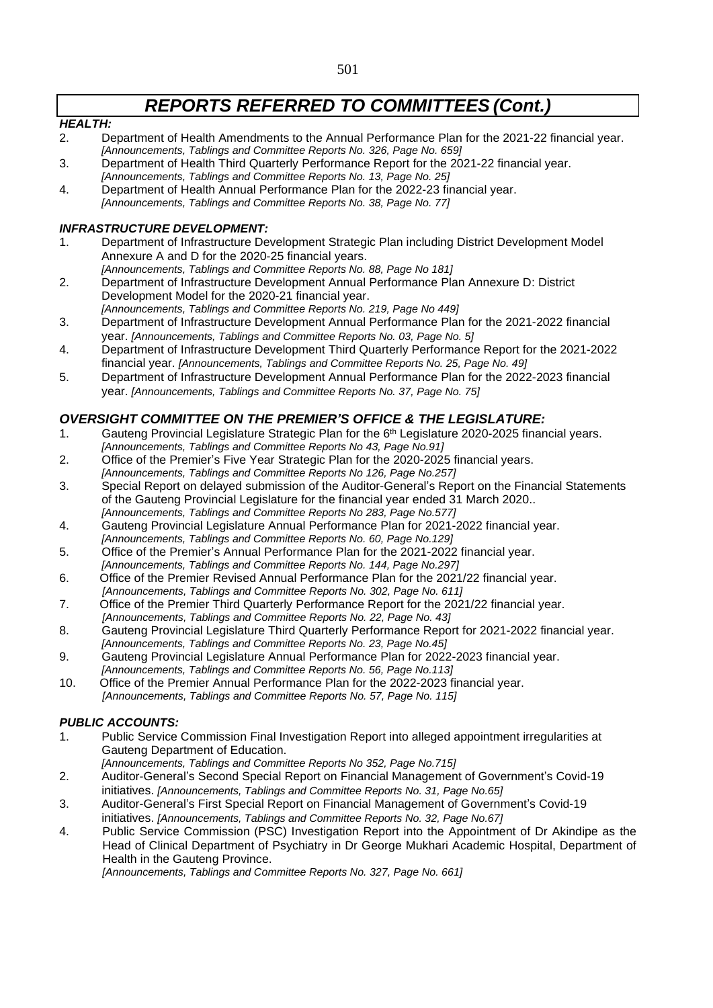#### *HEALTH:*

- 2. Department of Health Amendments to the Annual Performance Plan for the 2021-22 financial year. *[Announcements, Tablings and Committee Reports No. 326, Page No. 659]*
- 3. Department of Health Third Quarterly Performance Report for the 2021-22 financial year. *[Announcements, Tablings and Committee Reports No. 13, Page No. 25]*
- 4. Department of Health Annual Performance Plan for the 2022-23 financial year.
- *[Announcements, Tablings and Committee Reports No. 38, Page No. 77]*

#### *INFRASTRUCTURE DEVELOPMENT:*

- 1. Department of Infrastructure Development Strategic Plan including District Development Model Annexure A and D for the 2020-25 financial years.
- *[Announcements, Tablings and Committee Reports No. 88, Page No 181]* 2. Department of Infrastructure Development Annual Performance Plan Annexure D: District Development Model for the 2020-21 financial year.
- *[Announcements, Tablings and Committee Reports No. 219, Page No 449]* 3. Department of Infrastructure Development Annual Performance Plan for the 2021-2022 financial year. *[Announcements, Tablings and Committee Reports No. 03, Page No. 5]*
- 4. Department of Infrastructure Development Third Quarterly Performance Report for the 2021-2022 financial year. *[Announcements, Tablings and Committee Reports No. 25, Page No. 49]*
- 5. Department of Infrastructure Development Annual Performance Plan for the 2022-2023 financial year. *[Announcements, Tablings and Committee Reports No. 37, Page No. 75]*

## *OVERSIGHT COMMITTEE ON THE PREMIER'S OFFICE & THE LEGISLATURE:*

- 1. Gauteng Provincial Legislature Strategic Plan for the 6<sup>th</sup> Legislature 2020-2025 financial years. *[Announcements, Tablings and Committee Reports No 43, Page No.91]*
- 2. Office of the Premier's Five Year Strategic Plan for the 2020-2025 financial years. *[Announcements, Tablings and Committee Reports No 126, Page No.257]*
- 3. Special Report on delayed submission of the Auditor-General's Report on the Financial Statements of the Gauteng Provincial Legislature for the financial year ended 31 March 2020.. *[Announcements, Tablings and Committee Reports No 283, Page No.577]*
- 4. Gauteng Provincial Legislature Annual Performance Plan for 2021-2022 financial year. *[Announcements, Tablings and Committee Reports No. 60, Page No.129]*
- 5. Office of the Premier's Annual Performance Plan for the 2021-2022 financial year.
- *[Announcements, Tablings and Committee Reports No. 144, Page No.297]*
- 6. Office of the Premier Revised Annual Performance Plan for the 2021/22 financial year. *[Announcements, Tablings and Committee Reports No. 302, Page No. 611]*
- 7. Office of the Premier Third Quarterly Performance Report for the 2021/22 financial year.
- *[Announcements, Tablings and Committee Reports No. 22, Page No. 43]*
- 8. Gauteng Provincial Legislature Third Quarterly Performance Report for 2021-2022 financial year. *[Announcements, Tablings and Committee Reports No. 23, Page No.45]*
- 9. Gauteng Provincial Legislature Annual Performance Plan for 2022-2023 financial year. *[Announcements, Tablings and Committee Reports No. 56, Page No.113]*
- 10. Office of the Premier Annual Performance Plan for the 2022-2023 financial year. *[Announcements, Tablings and Committee Reports No. 57, Page No. 115]*

### *PUBLIC ACCOUNTS:*

- 1. Public Service Commission Final Investigation Report into alleged appointment irregularities at Gauteng Department of Education.
	- *[Announcements, Tablings and Committee Reports No 352, Page No.715]*
- 2. Auditor-General's Second Special Report on Financial Management of Government's Covid-19 initiatives. *[Announcements, Tablings and Committee Reports No. 31, Page No.65]*
- 3. Auditor-General's First Special Report on Financial Management of Government's Covid-19 initiatives. *[Announcements, Tablings and Committee Reports No. 32, Page No.67]*
- 4. Public Service Commission (PSC) Investigation Report into the Appointment of Dr Akindipe as the Head of Clinical Department of Psychiatry in Dr George Mukhari Academic Hospital, Department of Health in the Gauteng Province.

*[Announcements, Tablings and Committee Reports No. 327, Page No. 661]*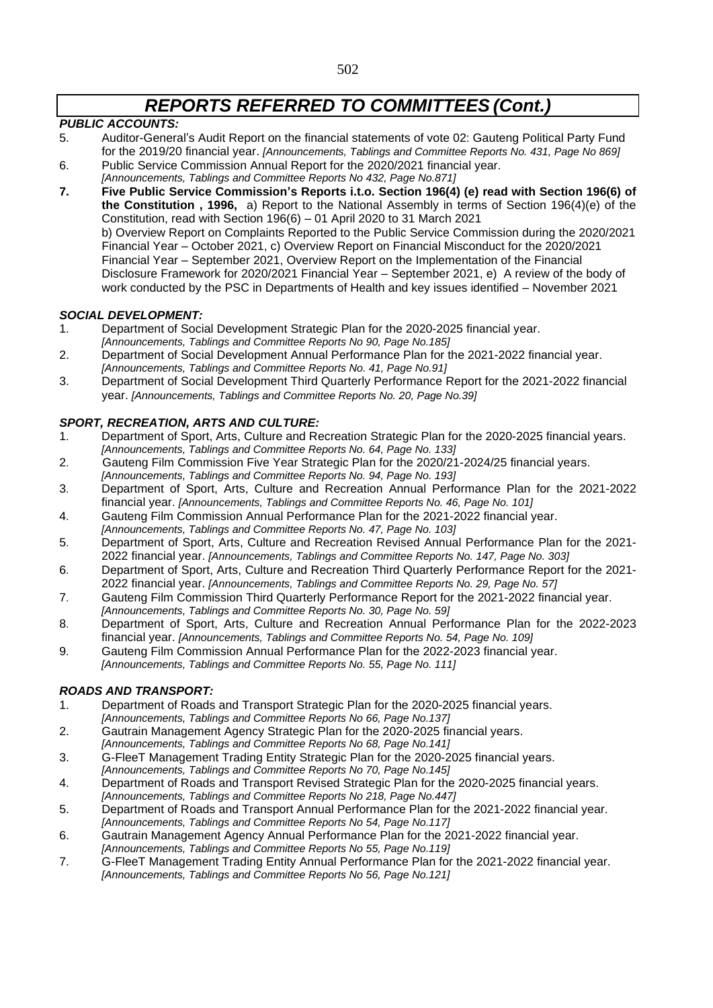#### *PUBLIC ACCOUNTS:*

- 5. Auditor-General's Audit Report on the financial statements of vote 02: Gauteng Political Party Fund for the 2019/20 financial year. *[Announcements, Tablings and Committee Reports No. 431, Page No 869]*
- 6. Public Service Commission Annual Report for the 2020/2021 financial year.
- *[Announcements, Tablings and Committee Reports No 432, Page No.871]*
- **7. Five Public Service Commission's Reports i.t.o. Section 196(4) (e) read with Section 196(6) of the Constitution , 1996,** a) Report to the National Assembly in terms of Section 196(4)(e) of the Constitution, read with Section 196(6) – 01 April 2020 to 31 March 2021 b) Overview Report on Complaints Reported to the Public Service Commission during the 2020/2021 Financial Year – October 2021, c) Overview Report on Financial Misconduct for the 2020/2021 Financial Year – September 2021, Overview Report on the Implementation of the Financial Disclosure Framework for 2020/2021 Financial Year – September 2021, e) A review of the body of work conducted by the PSC in Departments of Health and key issues identified – November 2021

#### *SOCIAL DEVELOPMENT:*

- 1. Department of Social Development Strategic Plan for the 2020-2025 financial year.
- *[Announcements, Tablings and Committee Reports No 90, Page No.185]*
- 2. Department of Social Development Annual Performance Plan for the 2021-2022 financial year. *[Announcements, Tablings and Committee Reports No. 41, Page No.91]*
- 3. Department of Social Development Third Quarterly Performance Report for the 2021-2022 financial year. *[Announcements, Tablings and Committee Reports No. 20, Page No.39]*

### *SPORT, RECREATION, ARTS AND CULTURE:*

- 1. Department of Sport, Arts, Culture and Recreation Strategic Plan for the 2020-2025 financial years. *[Announcements, Tablings and Committee Reports No. 64, Page No. 133]*
- 2. Gauteng Film Commission Five Year Strategic Plan for the 2020/21-2024/25 financial years. *[Announcements, Tablings and Committee Reports No. 94, Page No. 193]*
- 3. Department of Sport, Arts, Culture and Recreation Annual Performance Plan for the 2021-2022 financial year. *[Announcements, Tablings and Committee Reports No. 46, Page No. 101]*
- 4. Gauteng Film Commission Annual Performance Plan for the 2021-2022 financial year. *[Announcements, Tablings and Committee Reports No. 47, Page No. 103]*
- 5. Department of Sport, Arts, Culture and Recreation Revised Annual Performance Plan for the 2021- 2022 financial year. *[Announcements, Tablings and Committee Reports No. 147, Page No. 303]*
- 6. Department of Sport, Arts, Culture and Recreation Third Quarterly Performance Report for the 2021- 2022 financial year. *[Announcements, Tablings and Committee Reports No. 29, Page No. 57]*
- 7. Gauteng Film Commission Third Quarterly Performance Report for the 2021-2022 financial year. *[Announcements, Tablings and Committee Reports No. 30, Page No. 59]*
- 8. Department of Sport, Arts, Culture and Recreation Annual Performance Plan for the 2022-2023 financial year. *[Announcements, Tablings and Committee Reports No. 54, Page No. 109]*
- 9. Gauteng Film Commission Annual Performance Plan for the 2022-2023 financial year.
- *[Announcements, Tablings and Committee Reports No. 55, Page No. 111]*

### *ROADS AND TRANSPORT:*

- 1. Department of Roads and Transport Strategic Plan for the 2020-2025 financial years. *[Announcements, Tablings and Committee Reports No 66, Page No.137]*
- 2. Gautrain Management Agency Strategic Plan for the 2020-2025 financial years.

*[Announcements, Tablings and Committee Reports No 68, Page No.141]*

- 3. G-FleeT Management Trading Entity Strategic Plan for the 2020-2025 financial years.
- *[Announcements, Tablings and Committee Reports No 70, Page No.145]*
- 4. Department of Roads and Transport Revised Strategic Plan for the 2020-2025 financial years. *[Announcements, Tablings and Committee Reports No 218, Page No.447]*
- 5. Department of Roads and Transport Annual Performance Plan for the 2021-2022 financial year. *[Announcements, Tablings and Committee Reports No 54, Page No.117]*
- 6. Gautrain Management Agency Annual Performance Plan for the 2021-2022 financial year. *[Announcements, Tablings and Committee Reports No 55, Page No.119]*
- 7. G-FleeT Management Trading Entity Annual Performance Plan for the 2021-2022 financial year. *[Announcements, Tablings and Committee Reports No 56, Page No.121]*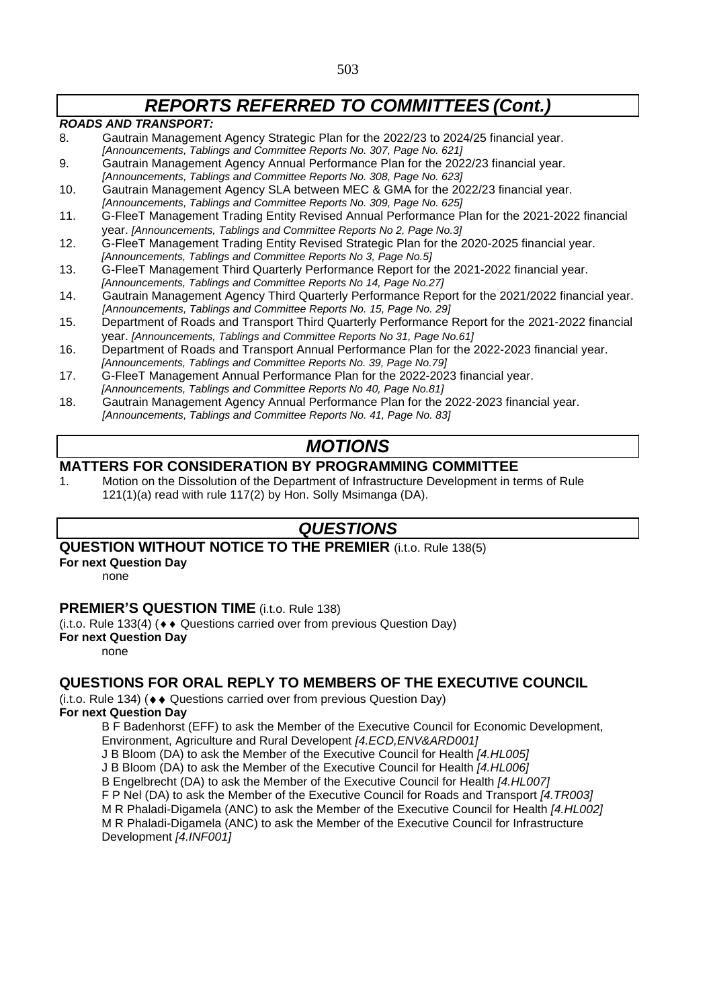#### *ROADS AND TRANSPORT:*

- 8. Gautrain Management Agency Strategic Plan for the 2022/23 to 2024/25 financial year. *[Announcements, Tablings and Committee Reports No. 307, Page No. 621]*
- 9. Gautrain Management Agency Annual Performance Plan for the 2022/23 financial year. *[Announcements, Tablings and Committee Reports No. 308, Page No. 623]*
- 10. Gautrain Management Agency SLA between MEC & GMA for the 2022/23 financial year. *[Announcements, Tablings and Committee Reports No. 309, Page No. 625]*
- 11. G-FleeT Management Trading Entity Revised Annual Performance Plan for the 2021-2022 financial year. *[Announcements, Tablings and Committee Reports No 2, Page No.3]*
- 12. G-FleeT Management Trading Entity Revised Strategic Plan for the 2020-2025 financial year. *[Announcements, Tablings and Committee Reports No 3, Page No.5]*
- 13. G-FleeT Management Third Quarterly Performance Report for the 2021-2022 financial year.
- *[Announcements, Tablings and Committee Reports No 14, Page No.27]*
- 14. Gautrain Management Agency Third Quarterly Performance Report for the 2021/2022 financial year. *[Announcements, Tablings and Committee Reports No. 15, Page No. 29]*
- 15. Department of Roads and Transport Third Quarterly Performance Report for the 2021-2022 financial year. *[Announcements, Tablings and Committee Reports No 31, Page No.61]*
- 16. Department of Roads and Transport Annual Performance Plan for the 2022-2023 financial year. *[Announcements, Tablings and Committee Reports No. 39, Page No.79]*
- 17. G-FleeT Management Annual Performance Plan for the 2022-2023 financial year. *[Announcements, Tablings and Committee Reports No 40, Page No.81]*
- 18. Gautrain Management Agency Annual Performance Plan for the 2022-2023 financial year. *[Announcements, Tablings and Committee Reports No. 41, Page No. 83]*

## *MOTIONS*

## **MATTERS FOR CONSIDERATION BY PROGRAMMING COMMITTEE**

1. Motion on the Dissolution of the Department of Infrastructure Development in terms of Rule 121(1)(a) read with rule 117(2) by Hon. Solly Msimanga (DA).

## *QUESTIONS*

## **QUESTION WITHOUT NOTICE TO THE PREMIER** (i.t.o. Rule 138(5)

**For next Question Day**

none

### **PREMIER'S QUESTION TIME** (i.t.o. Rule 138)

(i.t.o. Rule 133(4) ( $\leftrightarrow$  Questions carried over from previous Question Day)

#### **For next Question Day**

none

## **QUESTIONS FOR ORAL REPLY TO MEMBERS OF THE EXECUTIVE COUNCIL**

 $(i.t. o. Rule 134)$  ( $\leftrightarrow$  Questions carried over from previous Question Day)

## **For next Question Day**

B F Badenhorst (EFF) to ask the Member of the Executive Council for Economic Development, Environment, Agriculture and Rural Developent *[4.ECD,ENV&ARD001]*

- J B Bloom (DA) to ask the Member of the Executive Council for Health *[4.HL005]*
- J B Bloom (DA) to ask the Member of the Executive Council for Health *[4.HL006]*

B Engelbrecht (DA) to ask the Member of the Executive Council for Health *[4.HL007]*

F P Nel (DA) to ask the Member of the Executive Council for Roads and Transport *[4.TR003]*

M R Phaladi-Digamela (ANC) to ask the Member of the Executive Council for Health *[4.HL002]*

M R Phaladi-Digamela (ANC) to ask the Member of the Executive Council for Infrastructure Development *[4.INF001]*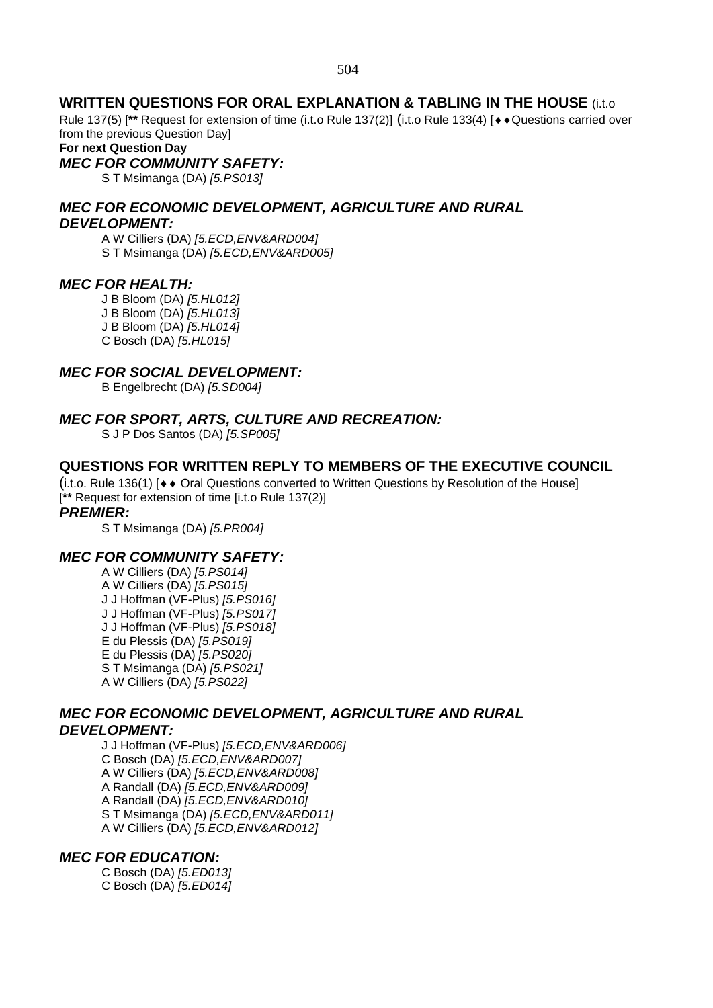### **WRITTEN QUESTIONS FOR ORAL EXPLANATION & TABLING IN THE HOUSE** (i.t.o

Rule 137(5) [<sup>\*\*</sup> Request for extension of time (i.t.o Rule 137(2)] (i.t.o Rule 133(4) [ $\leftrightarrow$  Questions carried over from the previous Question Day]

**For next Question Day**

### *MEC FOR COMMUNITY SAFETY:*

S T Msimanga (DA) *[5.PS013]*

*MEC FOR ECONOMIC DEVELOPMENT, AGRICULTURE AND RURAL DEVELOPMENT:*

A W Cilliers (DA) *[5.ECD,ENV&ARD004]* S T Msimanga (DA) *[5.ECD,ENV&ARD005]*

#### *MEC FOR HEALTH:*

J B Bloom (DA) *[5.HL012]*

J B Bloom (DA) *[5.HL013]*

J B Bloom (DA) *[5.HL014]*

C Bosch (DA) *[5.HL015]*

## *MEC FOR SOCIAL DEVELOPMENT:*

B Engelbrecht (DA) *[5.SD004]*

### *MEC FOR SPORT, ARTS, CULTURE AND RECREATION:*

S J P Dos Santos (DA) *[5.SP005]*

### **QUESTIONS FOR WRITTEN REPLY TO MEMBERS OF THE EXECUTIVE COUNCIL**

 $(i.t.$ o. Rule 136(1)  $\rightarrow \bullet$  Oral Questions converted to Written Questions by Resolution of the Housel [**\*\*** Request for extension of time [i.t.o Rule 137(2)]

#### *PREMIER:*

S T Msimanga (DA) *[5.PR004]*

### *MEC FOR COMMUNITY SAFETY:*

A W Cilliers (DA) *[5.PS014]* A W Cilliers (DA) *[5.PS015]* J J Hoffman (VF-Plus) *[5.PS016]* J J Hoffman (VF-Plus) *[5.PS017]* J J Hoffman (VF-Plus) *[5.PS018]* E du Plessis (DA) *[5.PS019]* E du Plessis (DA) *[5.PS020]* S T Msimanga (DA) *[5.PS021]* A W Cilliers (DA) *[5.PS022]*

#### *MEC FOR ECONOMIC DEVELOPMENT, AGRICULTURE AND RURAL DEVELOPMENT:*

J J Hoffman (VF-Plus) *[5.ECD,ENV&ARD006]* C Bosch (DA) *[5.ECD,ENV&ARD007]* A W Cilliers (DA) *[5.ECD,ENV&ARD008]* A Randall (DA) *[5.ECD,ENV&ARD009]* A Randall (DA) *[5.ECD,ENV&ARD010]* S T Msimanga (DA) *[5.ECD,ENV&ARD011]* A W Cilliers (DA) *[5.ECD,ENV&ARD012]*

### *MEC FOR EDUCATION:*

C Bosch (DA) *[5.ED013]* C Bosch (DA) *[5.ED014]*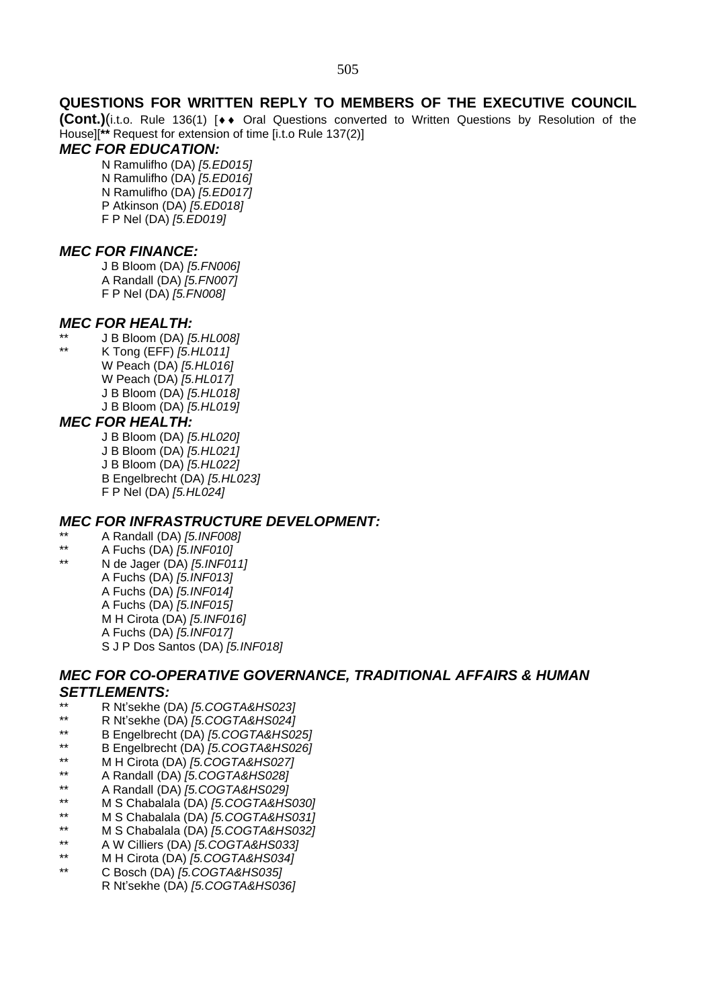### **QUESTIONS FOR WRITTEN REPLY TO MEMBERS OF THE EXECUTIVE COUNCIL**

**(Cont.)**(i.t.o. Rule 136(1) [◆◆ Oral Questions converted to Written Questions by Resolution of the House][**\*\*** Request for extension of time [i.t.o Rule 137(2)]

### *MEC FOR EDUCATION:*

N Ramulifho (DA) *[5.ED015]* N Ramulifho (DA) *[5.ED016]* N Ramulifho (DA) *[5.ED017]* P Atkinson (DA) *[5.ED018]* F P Nel (DA) *[5.ED019]*

#### *MEC FOR FINANCE:*

J B Bloom (DA) *[5.FN006]* A Randall (DA) *[5.FN007]* F P Nel (DA) *[5.FN008]*

### *MEC FOR HEALTH:*

\*\* J B Bloom (DA) *[5.HL008]* \*\* K Tong (EFF) *[5.HL011]* W Peach (DA) *[5.HL016]* W Peach (DA) *[5.HL017]* J B Bloom (DA) *[5.HL018]* J B Bloom (DA) *[5.HL019]*

### *MEC FOR HEALTH:*

J B Bloom (DA) *[5.HL020]*

- J B Bloom (DA) *[5.HL021]*
- J B Bloom (DA) *[5.HL022]*
- B Engelbrecht (DA) *[5.HL023]*
- F P Nel (DA) *[5.HL024]*

### *MEC FOR INFRASTRUCTURE DEVELOPMENT:*

- \*\* A Randall (DA) *[5.INF008]*
- \*\* A Fuchs (DA) *[5.INF010]*
	- \*\* N de Jager (DA) *[5.INF011]* A Fuchs (DA) *[5.INF013]* A Fuchs (DA) *[5.INF014]* A Fuchs (DA) *[5.INF015]* M H Cirota (DA) *[5.INF016]* A Fuchs (DA) *[5.INF017]* S J P Dos Santos (DA) *[5.INF018]*

### *MEC FOR CO-OPERATIVE GOVERNANCE, TRADITIONAL AFFAIRS & HUMAN SETTLEMENTS:*

- \*\* R Nt'sekhe (DA) *[5.COGTA&HS023]*
- \*\* R Nt'sekhe (DA) *[5.COGTA&HS024]*
- \*\* B Engelbrecht (DA) *[5.COGTA&HS025]*
- \*\* B Engelbrecht (DA) *[5.COGTA&HS026]*
- \*\* M H Cirota (DA) *[5.COGTA&HS027]*
- \*\* A Randall (DA) *[5.COGTA&HS028]*
- \*\* A Randall (DA) *[5.COGTA&HS029]*
- \*\* M S Chabalala (DA) *[5.COGTA&HS030]*
- \*\* M S Chabalala (DA) *[5.COGTA&HS031]*
- \*\* M S Chabalala (DA) *[5.COGTA&HS032]*
- \*\* A W Cilliers (DA) *[5.COGTA&HS033]*
- \*\* M H Cirota (DA) *[5.COGTA&HS034]*
- \*\* C Bosch (DA) *[5.COGTA&HS035]*
	- R Nt'sekhe (DA) *[5.COGTA&HS036]*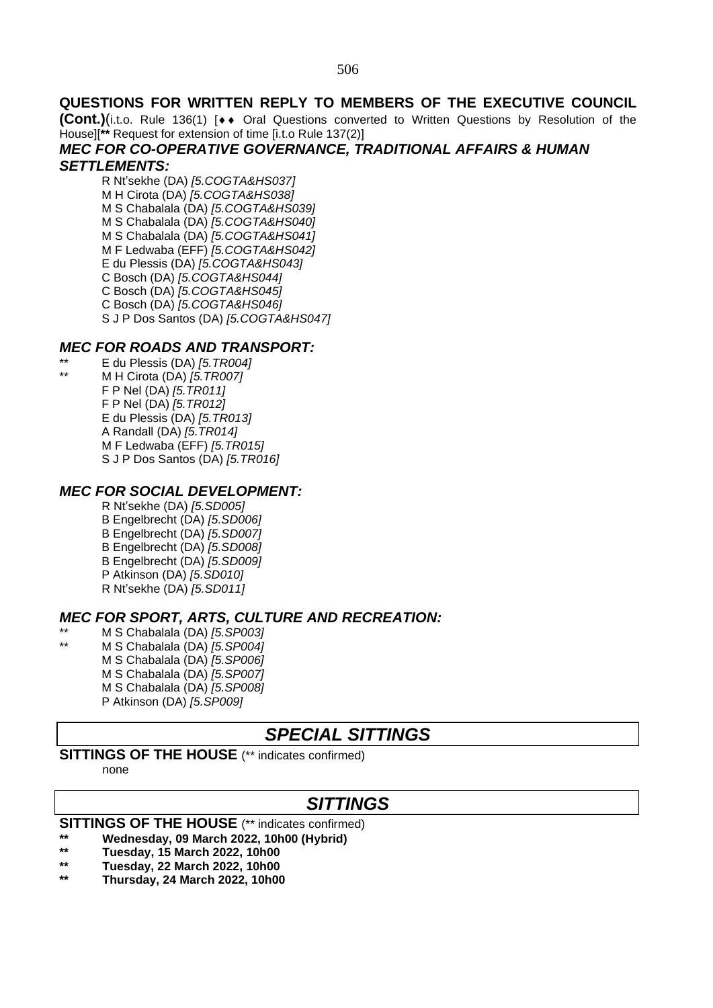### **QUESTIONS FOR WRITTEN REPLY TO MEMBERS OF THE EXECUTIVE COUNCIL**

**(Cont.)**(i.t.o. Rule 136(1) [◆◆ Oral Questions converted to Written Questions by Resolution of the House][**\*\*** Request for extension of time [i.t.o Rule 137(2)]

## *MEC FOR CO-OPERATIVE GOVERNANCE, TRADITIONAL AFFAIRS & HUMAN*

### *SETTLEMENTS:*

R Nt'sekhe (DA) *[5.COGTA&HS037]* M H Cirota (DA) *[5.COGTA&HS038]* M S Chabalala (DA) *[5.COGTA&HS039]* M S Chabalala (DA) *[5.COGTA&HS040]* M S Chabalala (DA) *[5.COGTA&HS041]* M F Ledwaba (EFF) *[5.COGTA&HS042]* E du Plessis (DA) *[5.COGTA&HS043]* C Bosch (DA) *[5.COGTA&HS044]* C Bosch (DA) *[5.COGTA&HS045]* C Bosch (DA) *[5.COGTA&HS046]* S J P Dos Santos (DA) *[5.COGTA&HS047]*

### *MEC FOR ROADS AND TRANSPORT:*

\*\* E du Plessis (DA) *[5.TR004]* \*\* M H Cirota (DA) *[5.TR007]* F P Nel (DA) *[5.TR011]* F P Nel (DA) *[5.TR012]* E du Plessis (DA) *[5.TR013]* A Randall (DA) *[5.TR014]* M F Ledwaba (EFF) *[5.TR015]* S J P Dos Santos (DA) *[5.TR016]*

### *MEC FOR SOCIAL DEVELOPMENT:*

R Nt'sekhe (DA) *[5.SD005]* B Engelbrecht (DA) *[5.SD006]* B Engelbrecht (DA) *[5.SD007]* B Engelbrecht (DA) *[5.SD008]* B Engelbrecht (DA) *[5.SD009]* P Atkinson (DA) *[5.SD010]* R Nt'sekhe (DA) *[5.SD011]*

## *MEC FOR SPORT, ARTS, CULTURE AND RECREATION:*

\*\* M S Chabalala (DA) *[5.SP003]* \*\* M S Chabalala (DA) *[5.SP004]* M S Chabalala (DA) *[5.SP006]* M S Chabalala (DA) *[5.SP007]* M S Chabalala (DA) *[5.SP008]* P Atkinson (DA) *[5.SP009]*

## *SPECIAL SITTINGS*

## **SITTINGS OF THE HOUSE** (\*\* indicates confirmed)

none

## *SITTINGS*

## **SITTINGS OF THE HOUSE** (\*\* indicates confirmed)

- **\*\* Wednesday, 09 March 2022, 10h00 (Hybrid)**
- **\*\* Tuesday, 15 March 2022, 10h00**
- **\*\* Tuesday, 22 March 2022, 10h00**
- **\*\* Thursday, 24 March 2022, 10h00**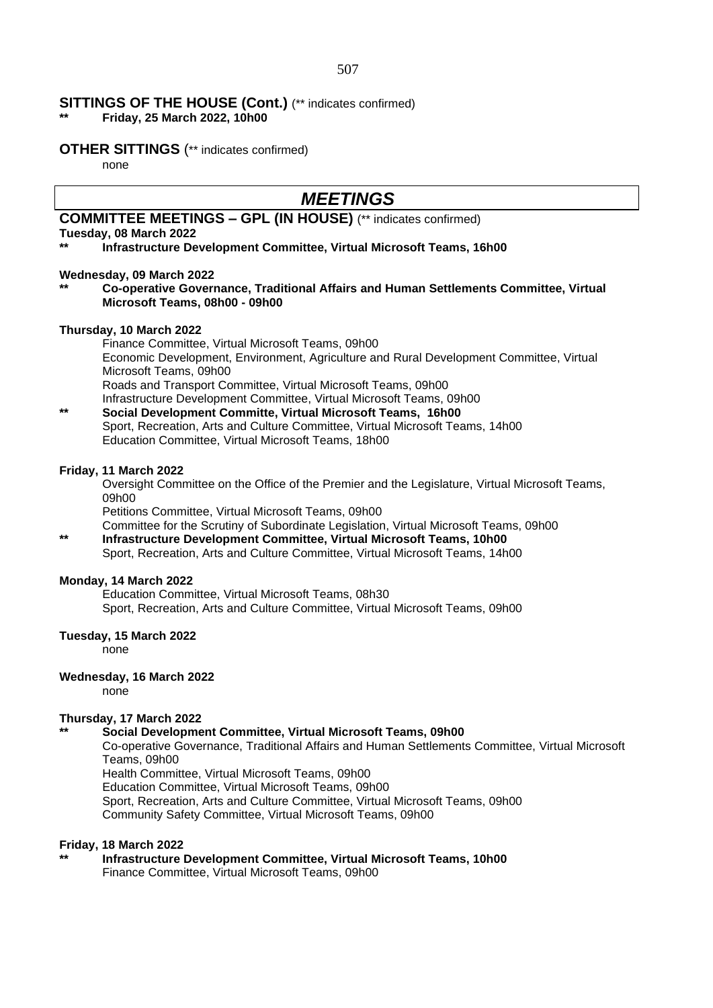#### **SITTINGS OF THE HOUSE (Cont.)** (\*\* indicates confirmed)

**\*\* Friday, 25 March 2022, 10h00**

#### **OTHER SITTINGS** (\*\* indicates confirmed)

none

## *MEETINGS*

## **COMMITTEE MEETINGS – GPL (IN HOUSE)** (\*\* indicates confirmed)

**Tuesday, 08 March 2022**

**\*\* Infrastructure Development Committee, Virtual Microsoft Teams, 16h00**

#### **Wednesday, 09 March 2022**

#### **\*\* Co-operative Governance, Traditional Affairs and Human Settlements Committee, Virtual Microsoft Teams, 08h00 - 09h00**

#### **Thursday, 10 March 2022**

Finance Committee, Virtual Microsoft Teams, 09h00 Economic Development, Environment, Agriculture and Rural Development Committee, Virtual Microsoft Teams, 09h00 Roads and Transport Committee, Virtual Microsoft Teams, 09h00 Infrastructure Development Committee, Virtual Microsoft Teams, 09h00

**\*\* Social Development Committe, Virtual Microsoft Teams, 16h00** Sport, Recreation, Arts and Culture Committee, Virtual Microsoft Teams, 14h00 Education Committee, Virtual Microsoft Teams, 18h00

#### **Friday, 11 March 2022**

Oversight Committee on the Office of the Premier and the Legislature, Virtual Microsoft Teams, 09h00

Petitions Committee, Virtual Microsoft Teams, 09h00

Committee for the Scrutiny of Subordinate Legislation, Virtual Microsoft Teams, 09h00 **\*\* Infrastructure Development Committee, Virtual Microsoft Teams, 10h00** Sport, Recreation, Arts and Culture Committee, Virtual Microsoft Teams, 14h00

#### **Monday, 14 March 2022**

Education Committee, Virtual Microsoft Teams, 08h30 Sport, Recreation, Arts and Culture Committee, Virtual Microsoft Teams, 09h00

#### **Tuesday, 15 March 2022**

none

#### **Wednesday, 16 March 2022**

none

#### **Thursday, 17 March 2022**

#### **\*\* Social Development Committee, Virtual Microsoft Teams, 09h00**

Co-operative Governance, Traditional Affairs and Human Settlements Committee, Virtual Microsoft Teams, 09h00

Health Committee, Virtual Microsoft Teams, 09h00

Education Committee, Virtual Microsoft Teams, 09h00

Sport, Recreation, Arts and Culture Committee, Virtual Microsoft Teams, 09h00 Community Safety Committee, Virtual Microsoft Teams, 09h00

#### **Friday, 18 March 2022**

**\*\* Infrastructure Development Committee, Virtual Microsoft Teams, 10h00** Finance Committee, Virtual Microsoft Teams, 09h00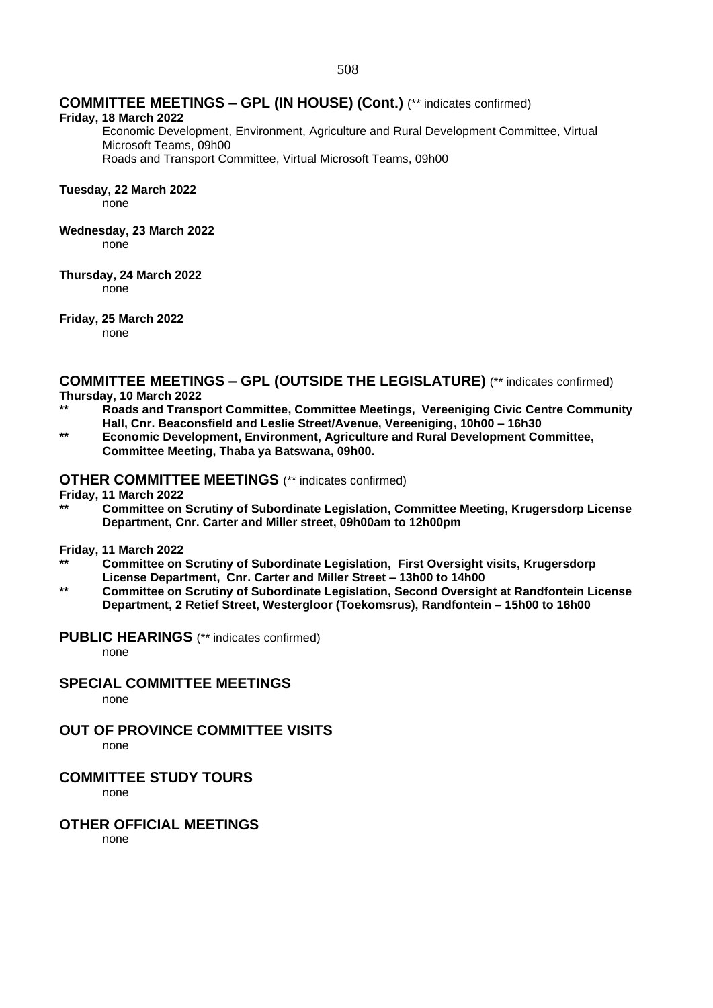### **COMMITTEE MEETINGS – GPL (IN HOUSE) (Cont.)** (\*\* indicates confirmed)

#### **Friday, 18 March 2022**

Economic Development, Environment, Agriculture and Rural Development Committee, Virtual Microsoft Teams, 09h00

Roads and Transport Committee, Virtual Microsoft Teams, 09h00

#### **Tuesday, 22 March 2022**

none

#### **Wednesday, 23 March 2022**

none

#### **Thursday, 24 March 2022**

none

#### **Friday, 25 March 2022**

none

**COMMITTEE MEETINGS – GPL (OUTSIDE THE LEGISLATURE)** (\*\* indicates confirmed) **Thursday, 10 March 2022**

- **\*\* Roads and Transport Committee, Committee Meetings, Vereeniging Civic Centre Community Hall, Cnr. Beaconsfield and Leslie Street/Avenue, Vereeniging, 10h00 – 16h30**
- **\*\* Economic Development, Environment, Agriculture and Rural Development Committee, Committee Meeting, Thaba ya Batswana, 09h00.**

### **OTHER COMMITTEE MEETINGS** (\*\* indicates confirmed)

**Friday, 11 March 2022**

**\*\* Committee on Scrutiny of Subordinate Legislation, Committee Meeting, Krugersdorp License Department, Cnr. Carter and Miller street, 09h00am to 12h00pm**

#### **Friday, 11 March 2022**

- **\*\* Committee on Scrutiny of Subordinate Legislation, First Oversight visits, Krugersdorp License Department, Cnr. Carter and Miller Street – 13h00 to 14h00**
- **\*\* Committee on Scrutiny of Subordinate Legislation, Second Oversight at Randfontein License Department, 2 Retief Street, Westergloor (Toekomsrus), Randfontein – 15h00 to 16h00**

#### **PUBLIC HEARINGS** (\*\* indicates confirmed)

none

#### **SPECIAL COMMITTEE MEETINGS**

none

## **OUT OF PROVINCE COMMITTEE VISITS**

none

## **COMMITTEE STUDY TOURS**

none

## **OTHER OFFICIAL MEETINGS**

none